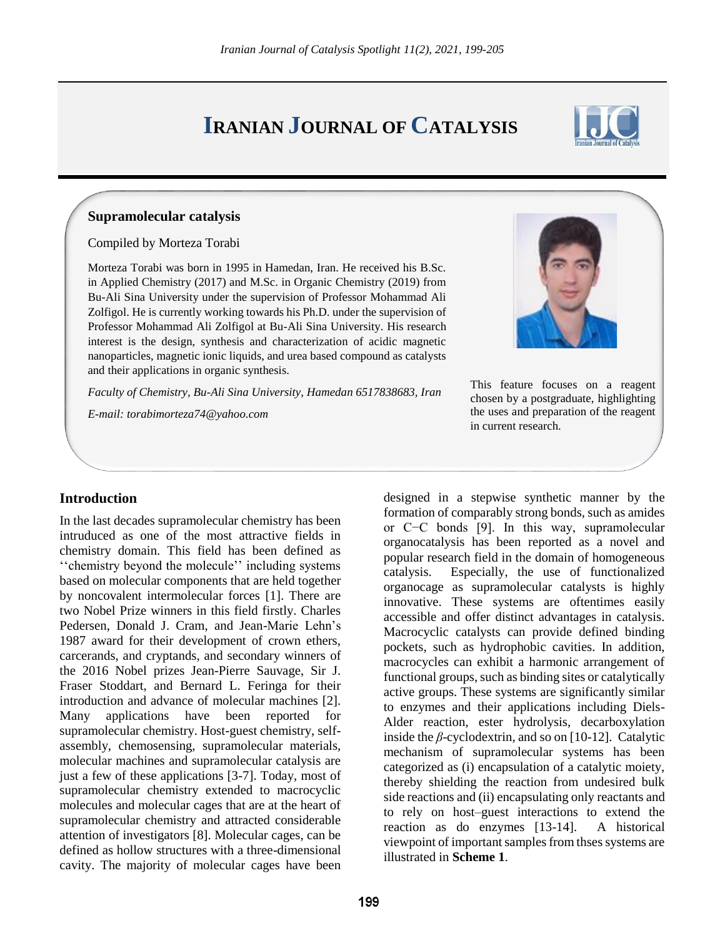# **IRANIAN JOURNAL OF CATALYSIS**



## **Supramolecular catalysis**

#### Compiled by Morteza Torabi

Morteza Torabi was born in 1995 in Hamedan, Iran. He received his B.Sc. in Applied Chemistry (2017) and M.Sc. in Organic Chemistry (2019) from Bu-Ali Sina University under the supervision of Professor Mohammad Ali Zolfigol. He is currently working towards his Ph.D. under the supervision of Professor Mohammad Ali Zolfigol at Bu-Ali Sina University. His research interest is the design, synthesis and characterization of acidic magnetic nanoparticles, magnetic ionic liquids, and urea based compound as catalysts and their applications in organic synthesis.

*Faculty of Chemistry, Bu-Ali Sina University, Hamedan 6517838683, Iran*

*E-mail: torabimorteza74@yahoo.com*



This feature focuses on a reagent chosen by a postgraduate, highlighting the uses and preparation of the reagent in current research.

## **Introduction**

In the last decades supramolecular chemistry has been intruduced as one of the most attractive fields in chemistry domain. This field has been defined as ''chemistry beyond the molecule'' including systems based on molecular components that are held together by noncovalent intermolecular forces [1]. There are two Nobel Prize winners in this field firstly. Charles Pedersen, Donald J. Cram, and Jean-Marie Lehn's 1987 award for their development of crown ethers, carcerands, and cryptands, and secondary winners of the 2016 Nobel prizes Jean-Pierre Sauvage, Sir J. Fraser Stoddart, and Bernard L. Feringa for their introduction and advance of molecular machines [2]. Many applications have been reported for supramolecular chemistry. Host-guest chemistry, selfassembly, chemosensing, supramolecular materials, molecular machines and supramolecular catalysis are just a few of these applications [3-7]. Today, most of supramolecular chemistry extended to macrocyclic molecules and molecular cages that are at the heart of supramolecular chemistry and attracted considerable attention of investigators [8]. Molecular cages, can be defined as hollow structures with a three-dimensional cavity. The majority of molecular cages have been

designed in a stepwise synthetic manner by the formation of comparably strong bonds, such as amides or C−C bonds [9]. In this way, supramolecular organocatalysis has been reported as a novel and popular research field in the domain of homogeneous catalysis. Especially, the use of functionalized organocage as supramolecular catalysts is highly innovative. These systems are oftentimes easily accessible and offer distinct advantages in catalysis. Macrocyclic catalysts can provide defined binding pockets, such as hydrophobic cavities. In addition, macrocycles can exhibit a harmonic arrangement of functional groups, such as binding sites or catalytically active groups. These systems are significantly similar to enzymes and their applications including Diels-Alder reaction, ester hydrolysis, decarboxylation inside the  $\beta$ -cyclodextrin, and so on [10-12]. Catalytic mechanism of supramolecular systems has been categorized as (i) encapsulation of a catalytic moiety, thereby shielding the reaction from undesired bulk side reactions and (ii) encapsulating only reactants and to rely on host–guest interactions to extend the reaction as do enzymes [13-14]. A historical viewpoint of important samples from thses systems are illustrated in **Scheme 1**.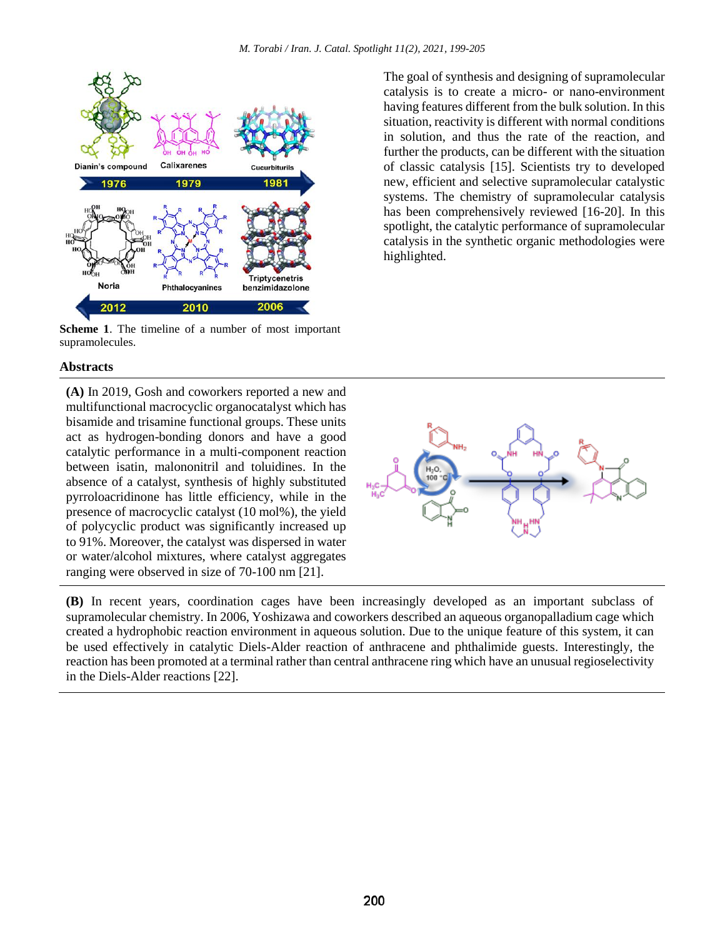

**Scheme 1**. The timeline of a number of most important supramolecules.

The goal of synthesis and designing of supramolecular catalysis is to create a micro- or nano-environment having features different from the bulk solution. In this situation, reactivity is different with normal conditions in solution, and thus the rate of the reaction, and further the products, can be different with the situation of classic catalysis [15]. Scientists try to developed new, efficient and selective supramolecular catalystic systems. The chemistry of supramolecular catalysis has been comprehensively reviewed [16-20]. In this spotlight, the catalytic performance of supramolecular catalysis in the synthetic organic methodologies were highlighted.

## **Abstracts**

**(A)** In 2019, Gosh and coworkers reported a new and multifunctional macrocyclic organocatalyst which has bisamide and trisamine functional groups. These units act as hydrogen-bonding donors and have a good catalytic performance in a multi-component reaction between isatin, malononitril and toluidines. In the absence of a catalyst, synthesis of highly substituted pyrroloacridinone has little efficiency, while in the presence of macrocyclic catalyst (10 mol%), the yield of polycyclic product was significantly increased up to 91%. Moreover, the catalyst was dispersed in water or water/alcohol mixtures, where catalyst aggregates ranging were observed in size of 70-100 nm [21].



**(B)** In recent years, coordination cages have been increasingly developed as an important subclass of supramolecular chemistry. In 2006, Yoshizawa and coworkers described an aqueous organopalladium cage which created a hydrophobic reaction environment in aqueous solution. Due to the unique feature of this system, it can be used effectively in catalytic Diels-Alder reaction of anthracene and phthalimide guests. Interestingly, the reaction has been promoted at a terminal rather than central anthracene ring which have an unusual regioselectivity in the Diels-Alder reactions [22].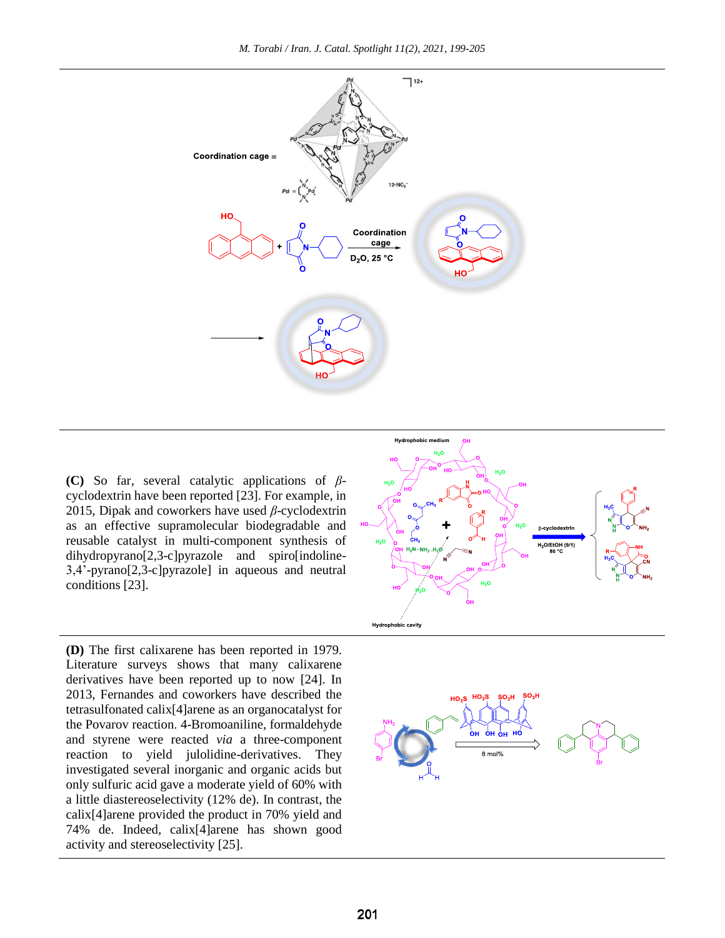*M. Torabi / Iran. J. Catal. Spotlight 11(2), 2021, 199-205*



**(C)** So far, several catalytic applications of *β*cyclodextrin have been reported [23]. For example, in 2015, Dipak and coworkers have used *β*-cyclodextrin as an effective supramolecular biodegradable and reusable catalyst in multi-component synthesis of dihydropyrano[2,3-c]pyrazole and spiro[indoline-3,4'-pyrano[2,3-c]pyrazole] in aqueous and neutral conditions [23].

**(D)** The first calixarene has been reported in 1979. Literature surveys shows that many calixarene derivatives have been reported up to now [24]. In 2013, Fernandes and coworkers have described the tetrasulfonated calix[4]arene as an organocatalyst for the Povarov reaction. 4-Bromoaniline, formaldehyde and styrene were reacted *via* a three-component reaction to yield julolidine-derivatives. They investigated several inorganic and organic acids but only sulfuric acid gave a moderate yield of 60% with a little diastereoselectivity (12% de). In contrast, the calix[4]arene provided the product in 70% yield and 74% de. Indeed, calix[4]arene has shown good activity and stereoselectivity [25].



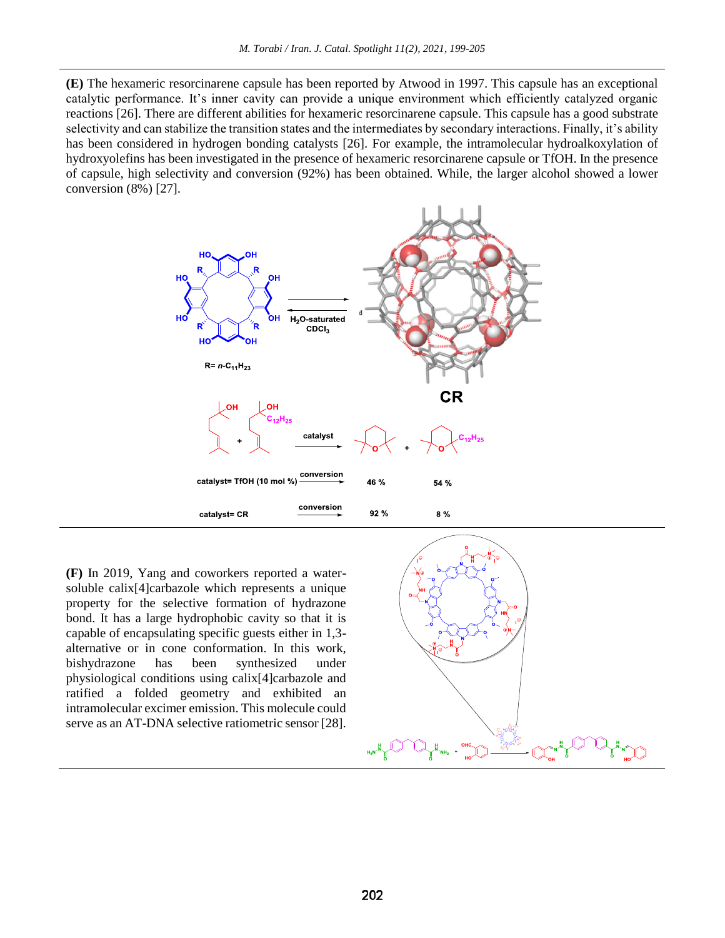**(E)** The hexameric resorcinarene capsule has been reported by Atwood in 1997. This capsule has an exceptional catalytic performance. It's inner cavity can provide a unique environment which efficiently catalyzed organic reactions [26]. There are different abilities for hexameric resorcinarene capsule. This capsule has a good substrate selectivity and can stabilize the transition states and the intermediates by secondary interactions. Finally, it's ability has been considered in hydrogen bonding catalysts [26]. For example, the intramolecular hydroalkoxylation of hydroxyolefins has been investigated in the presence of hexameric resorcinarene capsule or TfOH. In the presence of capsule, high selectivity and conversion (92%) has been obtained. While, the larger alcohol showed a lower conversion (8%) [27].



**(F)** In 2019, Yang and coworkers reported a watersoluble calix<sup>[4]</sup>carbazole which represents a unique property for the selective formation of hydrazone bond. It has a large hydrophobic cavity so that it is capable of encapsulating specific guests either in 1,3 alternative or in cone conformation. In this work, bishydrazone has been synthesized under physiological conditions using calix[4]carbazole and ratified a folded geometry and exhibited an intramolecular excimer emission. This molecule could serve as an AT-DNA selective ratiometric sensor [28].

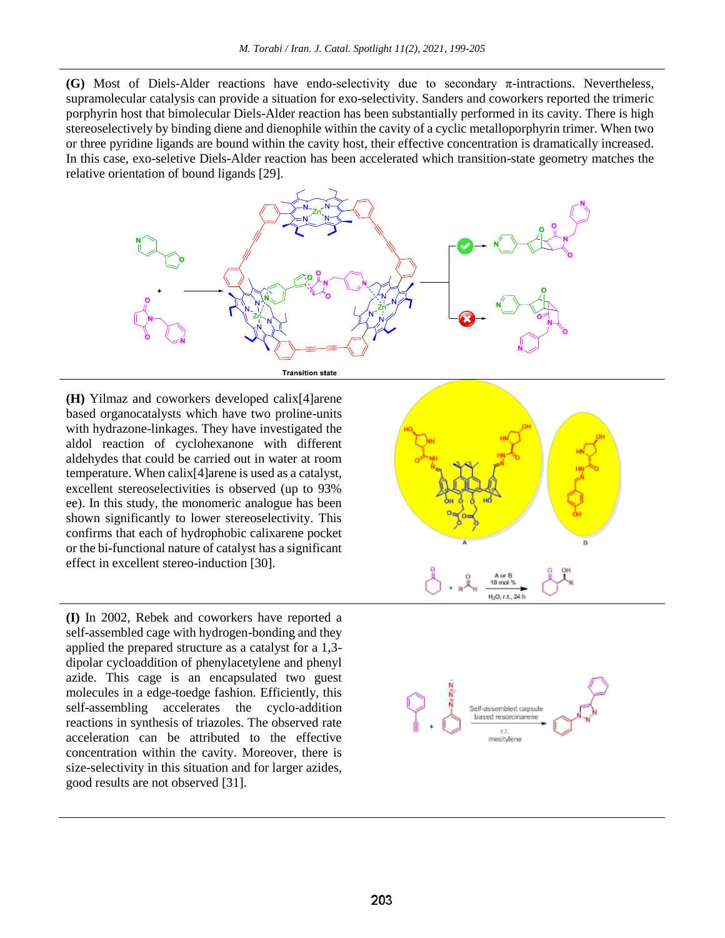**(G)** Most of Diels-Alder reactions have endo-selectivity due to secondary π-intractions. Nevertheless, supramolecular catalysis can provide a situation for exo-selectivity. Sanders and coworkers reported the trimeric porphyrin host that bimolecular Diels-Alder reaction has been substantially performed in its cavity. There is high stereoselectively by binding diene and dienophile within the cavity of a cyclic metalloporphyrin trimer. When two or three pyridine ligands are bound within the cavity host, their effective concentration is dramatically increased. In this case, exo-seletive Diels-Alder reaction has been accelerated which transition-state geometry matches the relative orientation of bound ligands [29].



**(H)** Yilmaz and coworkers developed calix[4]arene based organocatalysts which have two proline-units with hydrazone-linkages. They have investigated the aldol reaction of cyclohexanone with different aldehydes that could be carried out in water at room temperature. When calix[4]arene is used as a catalyst, excellent stereoselectivities is observed (up to 93% ee). In this study, the monomeric analogue has been shown significantly to lower stereoselectivity. This confirms that each of hydrophobic calixarene pocket or the bi-functional nature of catalyst has a significant effect in excellent stereo-induction [30].

**(I)** In 2002, Rebek and coworkers have reported a self-assembled cage with hydrogen-bonding and they applied the prepared structure as a catalyst for a 1,3 dipolar cycloaddition of phenylacetylene and phenyl azide. This cage is an encapsulated two guest molecules in a edge-toedge fashion. Efficiently, this self-assembling accelerates the cyclo-addition reactions in synthesis of triazoles. The observed rate acceleration can be attributed to the effective concentration within the cavity. Moreover, there is size-selectivity in this situation and for larger azides, good results are not observed [31].



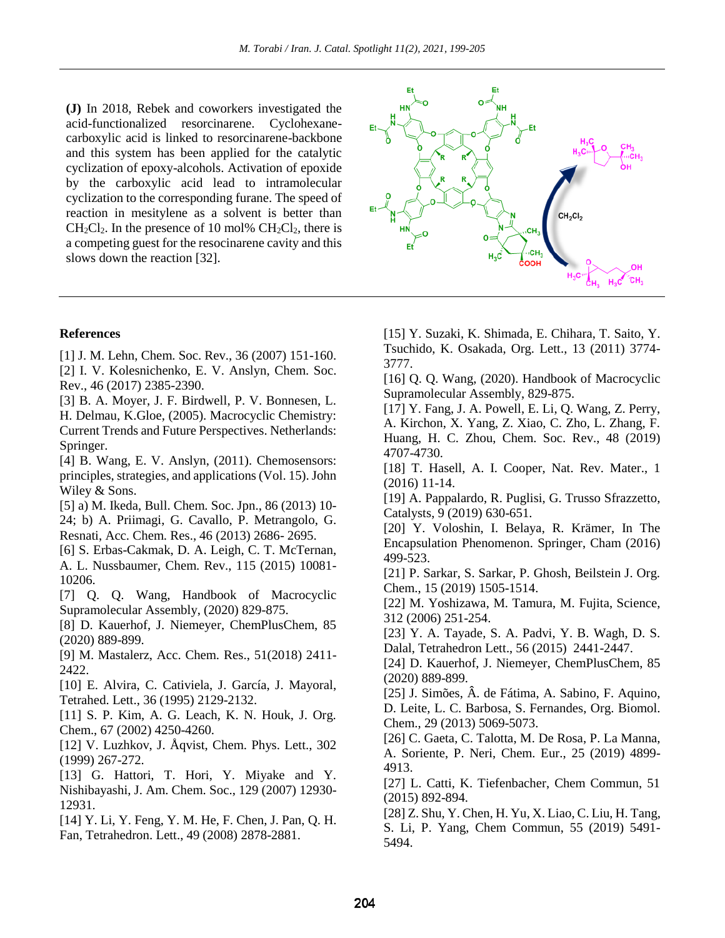**(J)** In 2018, Rebek and coworkers investigated the acid-functionalized resorcinarene. Cyclohexanecarboxylic acid is linked to resorcinarene-backbone and this system has been applied for the catalytic cyclization of epoxy-alcohols. Activation of epoxide by the carboxylic acid lead to intramolecular cyclization to the corresponding furane. The speed of reaction in mesitylene as a solvent is better than  $CH_2Cl_2$ . In the presence of 10 mol%  $CH_2Cl_2$ , there is a competing guest for the resocinarene cavity and this slows down the reaction [32].

## **References**

[1] J. M. Lehn, Chem. Soc. Rev., 36 (2007) 151-160. [2] I. V. Kolesnichenko, E. V. Anslyn, Chem. Soc. Rev., 46 (2017) 2385-2390.

[3] B. A. Moyer, J. F. Birdwell, P. V. Bonnesen, L. H. Delmau, K.Gloe, (2005). Macrocyclic Chemistry: Current Trends and Future Perspectives. Netherlands: Springer.

[4] B. Wang, E. V. Anslyn, (2011). Chemosensors: principles, strategies, and applications (Vol. 15). John Wiley & Sons.

[5] a) M. Ikeda, Bull. Chem. Soc. Jpn., 86 (2013) 10- 24; b) A. Priimagi, G. Cavallo, P. Metrangolo, G. Resnati, Acc. Chem. Res., 46 (2013) 2686- 2695.

[6] S. Erbas-Cakmak, D. A. Leigh, C. T. McTernan, A. L. Nussbaumer, Chem. Rev., 115 (2015) 10081- 10206.

[7] Q. Q. Wang, Handbook of Macrocyclic Supramolecular Assembly, (2020) 829-875.

[8] D. Kauerhof, J. Niemeyer, ChemPlusChem, 85 (2020) 889-899.

[9] M. Mastalerz, Acc. Chem. Res., 51(2018) 2411- 2422.

[10] E. Alvira, C. Cativiela, J. García, J. Mayoral, Tetrahed. Lett., 36 (1995) 2129-2132.

[11] S. P. Kim, A. G. Leach, K. N. Houk, J. Org. Chem., 67 (2002) 4250-4260.

[12] V. Luzhkov, J. Åqvist, Chem. Phys. Lett., 302 (1999) 267-272.

[13] G. Hattori, T. Hori, Y. Miyake and Y. Nishibayashi, J. Am. Chem. Soc., 129 (2007) 12930- 12931.

[14] Y. Li, Y. Feng, Y. M. He, F. Chen, J. Pan, Q. H. Fan, Tetrahedron. Lett., 49 (2008) 2878-2881.



[15] Y. Suzaki, K. Shimada, E. Chihara, T. Saito, Y. Tsuchido, K. Osakada, Org. Lett., 13 (2011) 3774- 3777.

[16] Q. Q. Wang, (2020). Handbook of Macrocyclic Supramolecular Assembly, 829-875.

[17] Y. Fang, J. A. Powell, E. Li, Q. Wang, Z. Perry, A. Kirchon, X. Yang, Z. Xiao, C. Zho, L. Zhang, F. Huang, H. C. Zhou, Chem. Soc. Rev., 48 (2019) 4707-4730.

[18] T. Hasell, A. I. Cooper, Nat. Rev. Mater., 1 (2016) 11-14.

[19] A. Pappalardo, R. Puglisi, G. Trusso Sfrazzetto, Catalysts, 9 (2019) 630-651.

[20] Y. Voloshin, I. Belaya, R. Krämer, In The Encapsulation Phenomenon. Springer, Cham (2016) 499-523.

[21] P. Sarkar, S. Sarkar, P. Ghosh, Beilstein J. Org. Chem., 15 (2019) 1505-1514.

[22] M. Yoshizawa, M. Tamura, M. Fujita, Science, 312 (2006) 251-254.

[23] Y. A. Tayade, S. A. Padvi, Y. B. Wagh, D. S. Dalal, Tetrahedron Lett., 56 (2015) 2441-2447.

[24] D. Kauerhof, J. Niemeyer, ChemPlusChem, 85 (2020) 889-899.

[25] J. Simões, Â. de Fátima, A. Sabino, F. Aquino, D. Leite, L. C. Barbosa, S. Fernandes, Org. Biomol. Chem., 29 (2013) 5069-5073.

[26] C. Gaeta, C. Talotta, M. De Rosa, P. La Manna, A. Soriente, P. Neri, Chem. Eur., 25 (2019) 4899- 4913.

[27] L. Catti, K. Tiefenbacher, Chem Commun, 51 (2015) 892-894.

[28] Z. Shu, Y. Chen, H. Yu, X. Liao, C. Liu, H. Tang, S. Li, P. Yang, Chem Commun, 55 (2019) 5491- 5494.